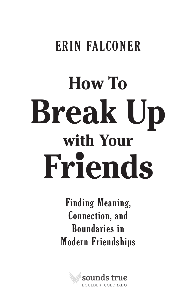## ERIN FALCONER

# **Break Up How To with Your Friends**

Finding Meaning, Connection, and Boundaries in Modern Friendships

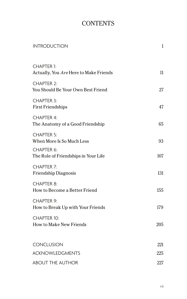#### **CONTENTS**

| <b>INTRODUCTION</b>                                         | $\mathbf{1}$ |
|-------------------------------------------------------------|--------------|
| <b>CHAPTER 1:</b><br>Actually, You Are Here to Make Friends | 11           |
| <b>CHAPTER 2:</b><br>You Should Be Your Own Best Friend     | 27           |
| <b>CHAPTER 3:</b><br><b>First Friendships</b>               | 47           |
| <b>CHAPTER 4:</b><br>The Anatomy of a Good Friendship       | 65           |
| <b>CHAPTER 5:</b><br>When More Is So Much Less              | 93           |
| CHAPTER 6:<br>The Role of Friendships in Your Life          | 107          |
| <b>CHAPTER 7:</b><br><b>Friendship Diagnosis</b>            | 131          |
| <b>CHAPTER 8:</b><br>How to Become a Better Friend          | 155          |
| <b>CHAPTER 9:</b><br>How to Break Up with Your Friends      | 179          |
| <b>CHAPTER 10:</b><br><b>How to Make New Friends</b>        | 205          |
|                                                             |              |
| <b>CONCLUSION</b>                                           | 221          |
| <b>ACKNOWLEDGMENTS</b>                                      | 225          |
| <b>ABOUT THE AUTHOR</b>                                     | 227          |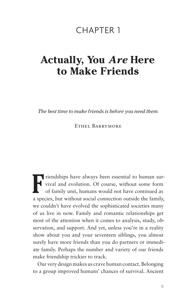#### CHAPTER 1

### **Actually, You** *Are* **Here to Make Friends**

*The best time to make friends is before you need them.*

Ethel Barrymore

**F** riendships have always been essential to human survival and evolution. Of course, without some form of family unit, humans would not have continued as a species, but without social connection outside the family, we couldn't have evolved the sophisticated societies many of us live in now. Family and romantic relationships get most of the attention when it comes to analysis, study, observation, and support. And yet, unless you're in a reality show about you and your seventeen siblings, you almost surely have more friends than you do partners or immediate family. Perhaps the number and variety of our friends make friendship trickier to track.

Our very design makes us crave human contact. Belonging to a group improved humans' chances of survival. Ancient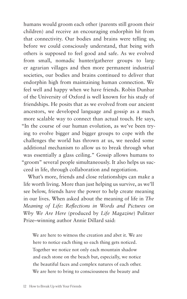humans would groom each other (parents still groom their children) and receive an encouraging endorphin hit from that connectivity. Our bodies and brains were telling us, before we could consciously understand, that being with others is supposed to feel good and safe. As we evolved from small, nomadic hunter/gatherer groups to larger agrarian villages and then more permanent industrial societies, our bodies and brains continued to deliver that endorphin high from maintaining human connection. We feel well and happy when we have friends. Robin Dunbar of the University of Oxford is well known for his study of friendships. He posits that as we evolved from our ancient ancestors, we developed language and gossip as a much more scalable way to connect than actual touch. He says, "In the course of our human evolution, as we've been trying to evolve bigger and bigger groups to cope with the challenges the world has thrown at us, we needed some additional mechanism to allow us to break through what was essentially a glass ceiling." Gossip allows humans to "groom" several people simultaneously. It also helps us succeed in life, through collaboration and negotiation.

What's more, friends and close relationships can make a life worth living. More than just helping us survive, as we'll see below, friends have the power to help create meaning in our lives. When asked about the meaning of life in *The Meaning of Life: Reflections in Words and Pictures on Why We Are Here* (produced by *Life Magazine*) Pulitzer Prize–winning author Annie Dillard said:

We are here to witness the creation and abet it. We are here to notice each thing so each thing gets noticed. Together we notice not only each mountain shadow and each stone on the beach but, especially, we notice the beautiful faces and complex natures of each other. We are here to bring to consciousness the beauty and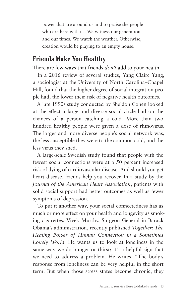power that are around us and to praise the people who are here with us. We witness our generation and our times. We watch the weather. Otherwise, creation would be playing to an empty house.

#### **Friends Make You Healthy**

There are few ways that friends *don't* add to your health.

In a 2016 review of several studies, Yang Claire Yang, a sociologist at the University of North Carolina–Chapel Hill, found that the higher degree of social integration people had, the lower their risk of negative health outcomes.

A late 1990s study conducted by Sheldon Cohen looked at the effect a large and diverse social circle had on the chances of a person catching a cold. More than two hundred healthy people were given a dose of rhinovirus. The larger and more diverse people's social network was, the less susceptible they were to the common cold, and the less virus they shed.

A large-scale Swedish study found that people with the fewest social connections were at a 50 percent increased risk of dying of cardiovascular disease. And should you get heart disease, friends help you recover. In a study by the *Journal of the American Heart Association*, patients with solid social support had better outcomes as well as fewer symptoms of depression.

To put it another way, your social connectedness has as much or more effect on your health and longevity as smoking cigarettes. Vivek Murthy, Surgeon General in Barack Obama's administration, recently published *Together: The Healing Power of Human Connection in a Sometimes Lonely World.* He wants us to look at loneliness in the same way we do hunger or thirst; it's a helpful sign that we need to address a problem. He writes, "The body's response from loneliness can be very helpful in the short term. But when those stress states become chronic, they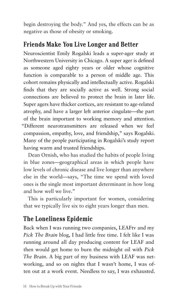begin destroying the body." And yes, the effects can be as negative as those of obesity or smoking.

#### **Friends Make You Live Longer and Better**

Neuroscientist Emily Rogalski leads a super-ager study at Northwestern University in Chicago. A super ager is defined as someone aged eighty years or older whose cognitive function is comparable to a person of middle age. This cohort remains physically and intellectually active. Rogalski finds that they are socially active as well. Strong social connections are believed to protect the brain in later life. Super agers have thicker cortices, are resistant to age-related atrophy, and have a larger left anterior cingulate—the part of the brain important to working memory and attention. "Different neurotransmitters are released when we feel compassion, empathy, love, and friendship," says Rogalski. Many of the people participating in Rogalski's study report having warm and trusted friendships.

Dean Ornish, who has studied the habits of people living in blue zones—geographical areas in which people have low levels of chronic disease and live longer than anywhere else in the world—says, "The time we spend with loved ones is the single most important determinant in how long and how well we live."

This is particularly important for women, considering that we typically live six to eight years longer than men.

#### **The Loneliness Epidemic**

Back when I was running two companies, LEAFtv and my *Pick The Brain* blog, I had little free time. I felt like I was running around all day producing content for LEAF and then would get home to burn the midnight oil with *Pick The Brain*. A big part of my business with LEAF was networking, and so on nights that I wasn't home, I was often out at a work event. Needless to say, I was exhausted.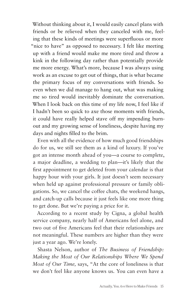Without thinking about it, I would easily cancel plans with friends or be relieved when they canceled with me, feeling that these kinds of meetings were superfluous or more "nice to have" as opposed to necessary. I felt like meeting up with a friend would make me more tired and throw a kink in the following day rather than potentially provide me more energy. What's more, because I was always using work as an excuse to get out of things, that is what became the primary focus of my conversations with friends. So even when we did manage to hang out, what was making me so tired would inevitably dominate the conversation. When I look back on this time of my life now, I feel like if I hadn't been so quick to axe those moments with friends, it could have really helped stave off my impending burnout and my growing sense of loneliness, despite having my days and nights filled to the brim.

Even with all the evidence of how much good friendships do for us, we still see them as a kind of luxury. If you've got an intense month ahead of you—a course to complete, a major deadline, a wedding to plan—it's likely that the first appointment to get deleted from your calendar is that happy hour with your girls. It just doesn't seem necessary when held up against professional pressure or family obligations. So, we cancel the coffee chats, the weekend hangs, and catch-up calls because it just feels like one more thing to get done. But we're paying a price for it.

According to a recent study by Cigna, a global health service company, nearly half of Americans feel alone, and two out of five Americans feel that their relationships are not meaningful. These numbers are higher than they were just a year ago. We're lonely.

Shasta Nelson, author of *The Business of Friendship: Making the Most of Our Relationships Where We Spend Most of Our Time,* says, "At the core of loneliness is that we don't feel like anyone knows us. You can even have a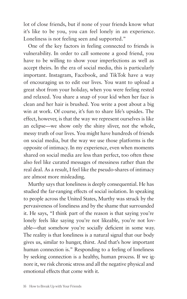lot of close friends, but if none of your friends know what it's like to be you, you can feel lonely in an experience. Loneliness is not feeling seen and supported."

One of the key factors in feeling connected to friends is vulnerability. In order to call someone a good friend, you have to be willing to show your imperfections as well as accept theirs. In the era of social media, this is particularly important. Instagram, Facebook, and TikTok have a way of encouraging us to edit our lives. You want to upload a great shot from your holiday, when you were feeling rested and relaxed. You share a snap of your kid when her face is clean and her hair is brushed. You write a post about a big win at work. Of course, it's fun to share life's upsides. The effect, however, is that the way we represent ourselves is like an eclipse—we show only the shiny sliver, not the whole, messy truth of our lives. You might have hundreds of friends on social media, but the way we use those platforms is the opposite of intimacy. In my experience, even when moments shared on social media are less than perfect, too often these also feel like curated messages of messiness rather than the real deal. As a result, I feel like the pseudo-shares of intimacy are almost more misleading.

Murthy says that loneliness is deeply consequential. He has studied the far-ranging effects of social isolation. In speaking to people across the United States, Murthy was struck by the pervasiveness of loneliness and by the shame that surrounded it. He says, "I think part of the reason is that saying you're lonely feels like saying you're not likeable, you're not lovable—that somehow you're socially deficient in some way. The reality is that loneliness is a natural signal that our body gives us, similar to hunger, thirst. And that's how important human connection is." Responding to a feeling of loneliness by seeking connection is a healthy, human process. If we ignore it, we risk chronic stress and all the negative physical and emotional effects that come with it.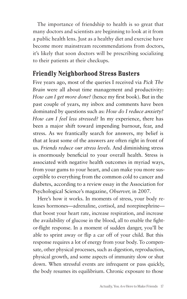The importance of friendship to health is so great that many doctors and scientists are beginning to look at it from a public health lens. Just as a healthy diet and exercise have become more mainstream recommendations from doctors, it's likely that soon doctors will be prescribing socializing to their patients at their checkups.

#### **Friendly Neighborhood Stress Busters**

Five years ago, most of the queries I received via *Pick The Brain* were all about time management and productivity: *How can I get more done?* (hence my first book). But in the past couple of years, my inbox and comments have been dominated by questions such as: *How do I reduce anxiety? How can I feel less stressed?* In my experience, there has been a major shift toward impending burnout, fear, and stress. As we frantically search for answers, my belief is that at least some of the answers are often right in front of us. *Friends reduce our stress levels.* And diminishing stress is enormously beneficial to your overall health. Stress is associated with negative health outcomes in myriad ways, from your gums to your heart, and can make you more susceptible to everything from the common cold to cancer and diabetes, according to a review essay in the Association for Psychological Science's magazine, *Observer,* in 2007.

Here's how it works. In moments of stress, your body releases hormones—adrenaline, cortisol, and norepinephrine that boost your heart rate, increase respiration, and increase the availability of glucose in the blood, all to enable the fightor-flight response. In a moment of sudden danger, you'll be able to sprint away or flip a car off of your child. But this response requires a lot of energy from your body. To compensate, other physical processes, such as digestion, reproduction, physical growth, and some aspects of immunity slow or shut down. When stressful events are infrequent or pass quickly, the body resumes its equilibrium. Chronic exposure to those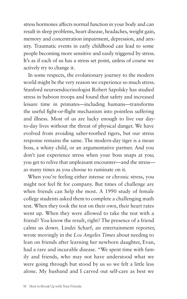stress hormones affects normal function in your body and can result in sleep problems, heart disease, headaches, weight gain, memory and concentration impairment, depression, and anxiety. Traumatic events in early childhood can lead to some people becoming more sensitive and easily triggered by stress. It's as if each of us has a stress set point, unless of course we actively try to change it.

In some respects, the evolutionary journey to the modern world might be the very reason we experience so much stress. Stanford neuroendocrinologist Robert Sapolsky has studied stress in baboon troops and found that safety and increased leisure time in primates—including humans—transforms the useful fight-or-flight mechanism into pointless suffering and illness. Most of us are lucky enough to live our dayto-day lives without the threat of physical danger. We have evolved from avoiding saber-toothed tigers, but our stress response remains the same. The modern-day tiger is a mean boss, a whiny child, or an argumentative partner. And you don't just experience stress when your boss snaps at you; you get to relive that unpleasant encounter—and the stress as many times as you choose to ruminate on it.

When you're feeling either intense or chronic stress, you might not feel fit for company. But times of challenge are when friends can help the most. A 1990 study of female college students asked them to complete a challenging math test. When they took the test on their own, their heart rates went up. When they were allowed to take the test with a friend? You know the result, right? The presence of a friend calms us down. Lindzi Scharf, an entertainment reporter, wrote movingly in the *Los Angeles Times* about needing to lean on friends after learning her newborn daughter, Evan, had a rare and incurable disease. "We spent time with family and friends, who may not have understood what we were going through but stood by us so we felt a little less alone. My husband and I carved out self-care as best we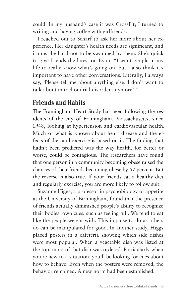could. In my husband's case it was CrossFit; I turned to writing and having coffee with girlfriends."

I reached out to Scharf to ask her more about her experience. Her daughter's health needs are significant, and it must be hard not to be swamped by them. She's quick to give friends the latest on Evan. "I want people in my life to really know what's going on, but I also think it's important to have other conversations. Literally, I always say, 'Please tell me about anything else. I don't want to talk about mitochondrial disorder anymore!'"

#### **Friends and Habits**

The Framingham Heart Study has been following the residents of the city of Framingham, Massachusetts, since 1948, looking at hypertension and cardiovascular health. Much of what is known about heart disease and the effects of diet and exercise is based on it. The finding that hadn't been predicted was the way health, for better or worse, could be contagious. The researchers have found that one person in a community becoming obese raised the chances of their friends becoming obese by 57 percent. But the reverse is also true. If your friends eat a healthy diet and regularly exercise, you are more likely to follow suit.

Suzanne Higgs, a professor in psychobiology of appetite at the University of Birmingham, found that the presence of friends actually diminished people's ability to recognize their bodies' own cues, such as feeling full. We tend to eat like the people we eat with. This impulse to do as others do can be manipulated for good. In another study, Higgs placed posters in a cafeteria showing which side dishes were most popular. When a vegetable dish was listed at the top, more of that dish was ordered. Particularly when you're new to a situation, you'll be looking for cues about how to behave. Even when the posters were removed, the behavior remained. A new norm had been established.